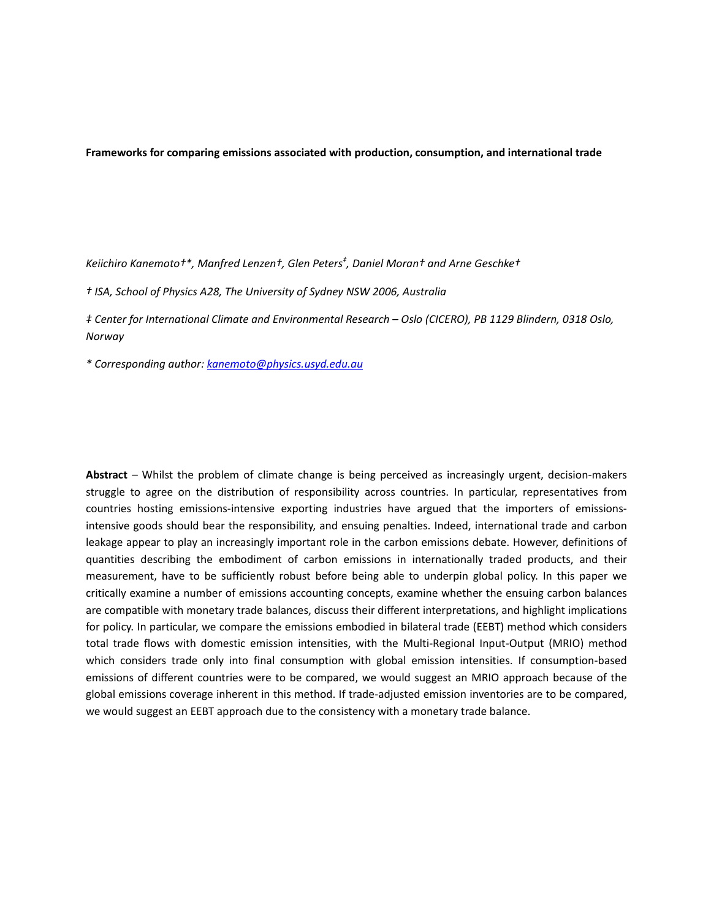**Frameworks for comparing emissions associated with production, consumption, and international trade**

*Keiichiro Kanemoto†\*, Manfred Lenzen†, Glen Peters‡ , Daniel Moran† and Arne Geschke†*

*† ISA, School of Physics A28, The University of Sydney NSW 2006, Australia*

*‡ Center for International Climate and Environmental Research – Oslo (CICERO), PB 1129 Blindern, 0318 Oslo, Norway*

*\* Corresponding author: kanemoto@physics.usyd.edu.au* 

**Abstract** *–* Whilst the problem of climate change is being perceived as increasingly urgent, decision‐makers struggle to agree on the distribution of responsibility across countries. In particular, representatives from countries hosting emissions-intensive exporting industries have argued that the importers of emissionsintensive goods should bear the responsibility, and ensuing penalties. Indeed, international trade and carbon leakage appear to play an increasingly important role in the carbon emissions debate. However, definitions of quantities describing the embodiment of carbon emissions in internationally traded products, and their measurement, have to be sufficiently robust before being able to underpin global policy. In this paper we critically examine a number of emissions accounting concepts, examine whether the ensuing carbon balances are compatible with monetary trade balances, discuss their different interpretations, and highlight implications for policy. In particular, we compare the emissions embodied in bilateral trade (EEBT) method which considers total trade flows with domestic emission intensities, with the Multi-Regional Input-Output (MRIO) method which considers trade only into final consumption with global emission intensities. If consumption-based emissions of different countries were to be compared, we would suggest an MRIO approach because of the global emissions coverage inherent in this method. If trade‐adjusted emission inventories are to be compared, we would suggest an EEBT approach due to the consistency with a monetary trade balance.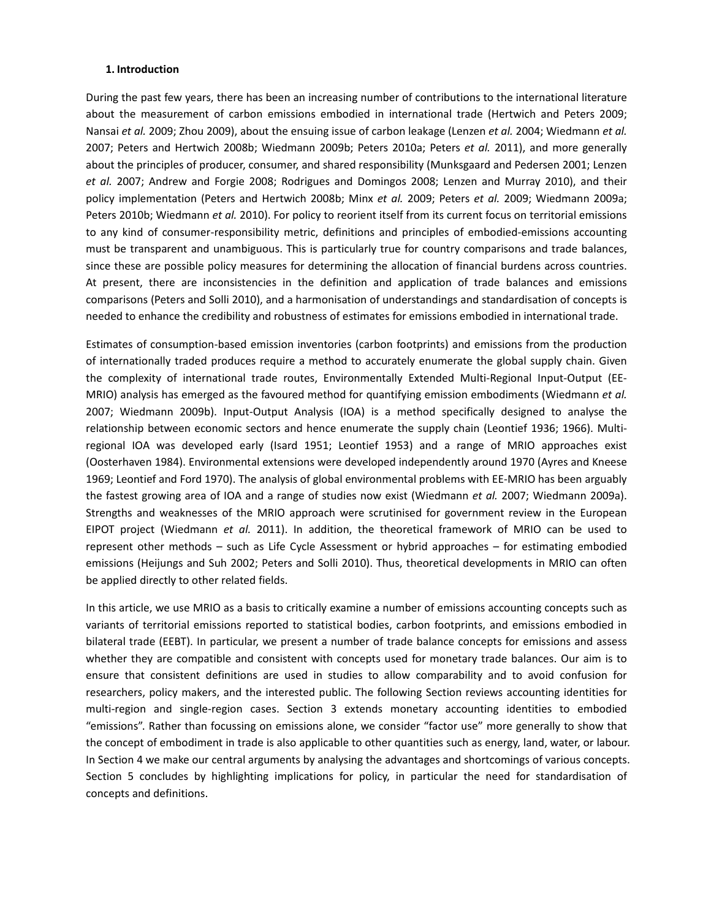# **1. Introduction**

During the past few years, there has been an increasing number of contributions to the international literature about the measurement of carbon emissions embodied in international trade (Hertwich and Peters 2009; Nansai *et al.* 2009; Zhou 2009), about the ensuing issue of carbon leakage (Lenzen *et al.* 2004; Wiedmann *et al.* 2007; Peters and Hertwich 2008b; Wiedmann 2009b; Peters 2010a; Peters *et al.* 2011), and more generally about the principles of producer, consumer, and shared responsibility (Munksgaard and Pedersen 2001; Lenzen *et al.* 2007; Andrew and Forgie 2008; Rodrigues and Domingos 2008; Lenzen and Murray 2010), and their policy implementation (Peters and Hertwich 2008b; Minx *et al.* 2009; Peters *et al.* 2009; Wiedmann 2009a; Peters 2010b; Wiedmann *et al.* 2010). For policy to reorient itself from its current focus on territorial emissions to any kind of consumer‐responsibility metric, definitions and principles of embodied‐emissions accounting must be transparent and unambiguous. This is particularly true for country comparisons and trade balances, since these are possible policy measures for determining the allocation of financial burdens across countries. At present, there are inconsistencies in the definition and application of trade balances and emissions comparisons (Peters and Solli 2010), and a harmonisation of understandings and standardisation of concepts is needed to enhance the credibility and robustness of estimates for emissions embodied in international trade.

Estimates of consumption‐based emission inventories (carbon footprints) and emissions from the production of internationally traded produces require a method to accurately enumerate the global supply chain. Given the complexity of international trade routes, Environmentally Extended Multi-Regional Input-Output (EE-MRIO) analysis has emerged as the favoured method for quantifying emission embodiments (Wiedmann *et al.* 2007; Wiedmann 2009b). Input‐Output Analysis (IOA) is a method specifically designed to analyse the relationship between economic sectors and hence enumerate the supply chain (Leontief 1936; 1966). Multiregional IOA was developed early (Isard 1951; Leontief 1953) and a range of MRIO approaches exist (Oosterhaven 1984). Environmental extensions were developed independently around 1970 (Ayres and Kneese 1969; Leontief and Ford 1970). The analysis of global environmental problems with EE‐MRIO has been arguably the fastest growing area of IOA and a range of studies now exist (Wiedmann *et al.* 2007; Wiedmann 2009a). Strengths and weaknesses of the MRIO approach were scrutinised for government review in the European EIPOT project (Wiedmann *et al.* 2011). In addition, the theoretical framework of MRIO can be used to represent other methods – such as Life Cycle Assessment or hybrid approaches – for estimating embodied emissions (Heijungs and Suh 2002; Peters and Solli 2010). Thus, theoretical developments in MRIO can often be applied directly to other related fields.

In this article, we use MRIO as a basis to critically examine a number of emissions accounting concepts such as variants of territorial emissions reported to statistical bodies, carbon footprints, and emissions embodied in bilateral trade (EEBT). In particular, we present a number of trade balance concepts for emissions and assess whether they are compatible and consistent with concepts used for monetary trade balances. Our aim is to ensure that consistent definitions are used in studies to allow comparability and to avoid confusion for researchers, policy makers, and the interested public. The following Section reviews accounting identities for multi-region and single-region cases. Section 3 extends monetary accounting identities to embodied "emissions". Rather than focussing on emissions alone, we consider "factor use" more generally to show that the concept of embodiment in trade is also applicable to other quantities such as energy, land, water, or labour. In Section 4 we make our central arguments by analysing the advantages and shortcomings of various concepts. Section 5 concludes by highlighting implications for policy, in particular the need for standardisation of concepts and definitions.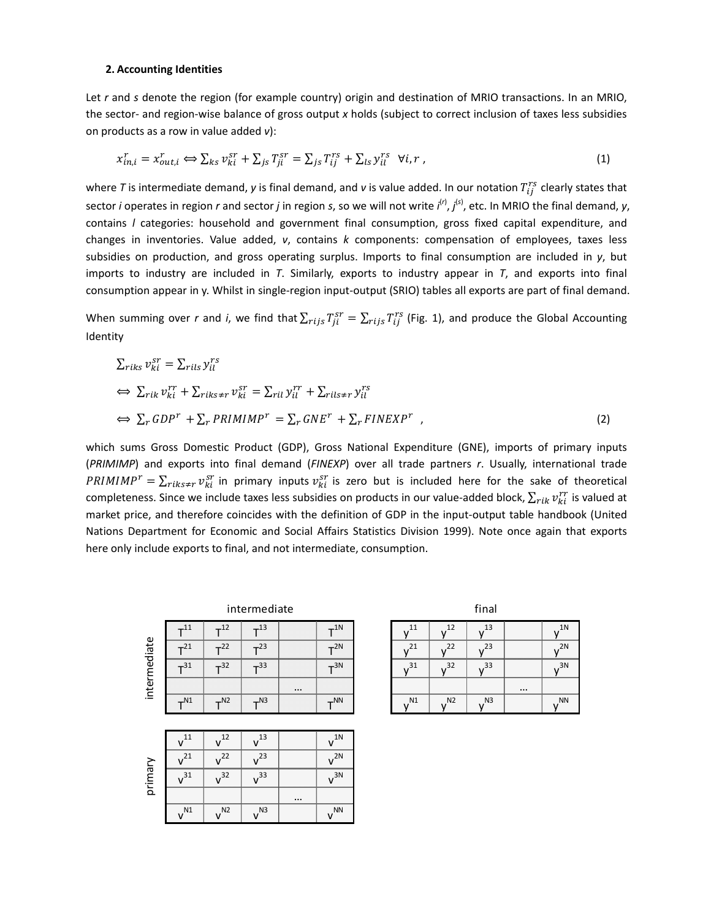#### **2. Accounting Identities**

Let *r* and *s* denote the region (for example country) origin and destination of MRIO transactions. In an MRIO, the sector‐ and region‐wise balance of gross output *x* holds (subject to correct inclusion of taxes less subsidies on products as a row in value added *v*):

$$
x_{in,i}^r = x_{out,i}^r \Longleftrightarrow \sum_{ks} v_{ki}^{sr} + \sum_{js} T_{ji}^{sr} = \sum_{js} T_{ij}^{rs} + \sum_{ls} y_{il}^{rs} \quad \forall i, r \tag{1}
$$

where T is intermediate demand, y is final demand, and v is value added. In our notation  $T_{ij}^{rs}$  clearly states that sector *i* operates in region *r* and sector *j* in region *s*, so we will not write *i*<sup>(r)</sup>, *j*<sup>(s)</sup>, etc. In MRIO the final demand, y, contains *l* categories: household and government final consumption, gross fixed capital expenditure, and changes in inventories. Value added, *v*, contains *k* components: compensation of employees, taxes less subsidies on production, and gross operating surplus. Imports to final consumption are included in *y*, but imports to industry are included in *T*. Similarly, exports to industry appear in *T*, and exports into final consumption appear in y. Whilst in single‐region input‐output (SRIO) tables all exports are part of final demand.

When summing over *r* and *i*, we find that  $\sum_{rijS} T_{ij}^{sr} = \sum_{rijS} T_{ij}^{rs}$  (Fig. 1), and produce the Global Accounting Identity

$$
\sum_{riks} v_{ki}^{sr} = \sum_{rils} y_{il}^{rs}
$$
\n
$$
\Leftrightarrow \sum_{rik} v_{ki}^{rr} + \sum_{riks \neq r} v_{ki}^{sr} = \sum_{ril} y_{il}^{rr} + \sum_{rils \neq r} y_{il}^{rs}
$$
\n
$$
\Leftrightarrow \sum_{r} GDP^{r} + \sum_{r} PRIMIMP^{r} = \sum_{r} GNE^{r} + \sum_{r} FINEXP^{r} \tag{2}
$$

which sums Gross Domestic Product (GDP), Gross National Expenditure (GNE), imports of primary inputs (*PRIMIMP*) and exports into final demand (*FINEXP*) over all trade partners *r*. Usually, international trade  $PRIMIMP^r = \sum_{riks \neq r} v_{ki}^{sr}$  in primary inputs  $v_{ki}^{sr}$  is zero but is included here for the sake of theoretical completeness. Since we include taxes less subsidies on products in our value-added block,  $\sum_{rik} v^{rr}_{ki}$  is valued at market price, and therefore coincides with the definition of GDP in the input‐output table handbook (United Nations Department for Economic and Social Affairs Statistics Division 1999). Note once again that exports here only include exports to final, and not intermediate, consumption.

|        |       |       | intermediate |          |       |                |                | final          |
|--------|-------|-------|--------------|----------|-------|----------------|----------------|----------------|
| ediate | $-11$ | $-12$ | $-13$        |          | $-1N$ |                |                |                |
|        | $-21$ | $+22$ | $-23$        |          | $+2N$ |                |                |                |
|        | $+31$ | $+32$ | $-33$        |          | $+3N$ | 31             | 32             | 33             |
| interm |       |       |              | $\cdots$ |       |                |                |                |
|        | $-N1$ | $-N2$ | $-$ N3       |          | $-NN$ | N <sub>1</sub> | N <sub>2</sub> | N <sub>3</sub> |

|         | $v^{11}$        | $^{12}$         | $\mathcal{L}^{13}$ |          | $v^{1N}$ |
|---------|-----------------|-----------------|--------------------|----------|----------|
|         | v <sup>21</sup> | v <sup>22</sup> | $v^{23}$           |          | $v^{2N}$ |
| primary | $v^{31}$        | v <sup>32</sup> | v <sup>33</sup>    |          | $v^{3N}$ |
|         |                 |                 |                    | $\cdots$ |          |
|         | $v^{N1}$        | $v^{\text{N2}}$ | $v^{N3}$           |          | $v^{NN}$ |

| <b>CONTRACTOR</b> | $-1N$            | <b>STATISTICS</b> | 12<br><b>STATISTICS</b><br>- | 13<br><b>ALL 1</b><br><b>STATISTICS</b> | ----     | 1 <sub>N</sub><br><b>STATISTICS</b> |
|-------------------|------------------|-------------------|------------------------------|-----------------------------------------|----------|-------------------------------------|
|                   | $+2N$            |                   |                              | 23                                      |          | 2Ν                                  |
|                   | $\overline{73N}$ | 31                | 32                           | -33                                     |          | 3N                                  |
| $\cdots$          |                  |                   |                              |                                         | $\cdots$ |                                     |
|                   | $+NN$            | N1                | N <sub>2</sub>               | N <sub>3</sub>                          |          | <b>NN</b>                           |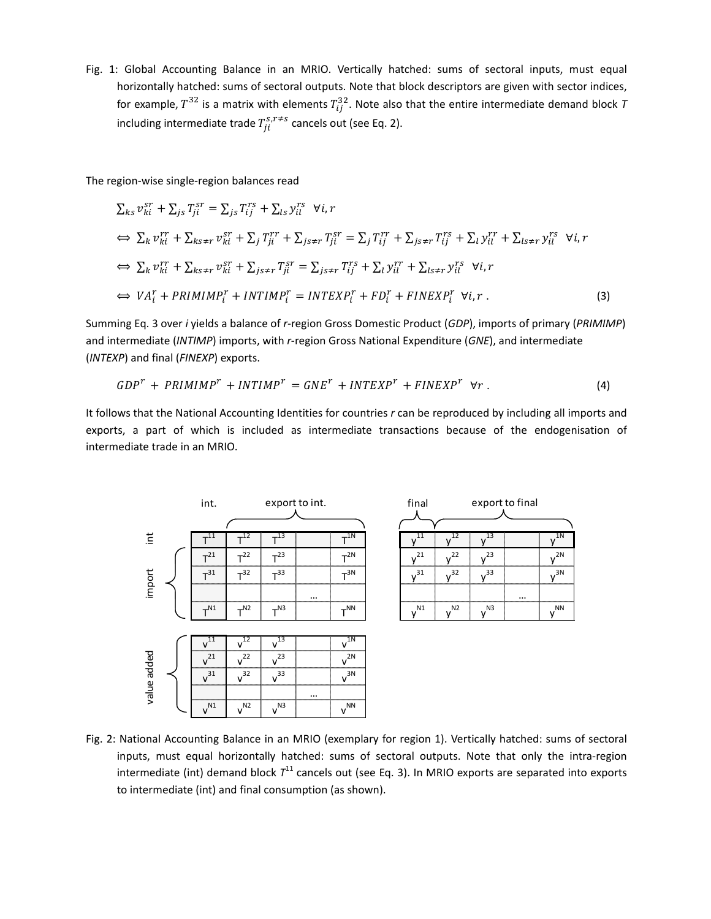Fig. 1: Global Accounting Balance in an MRIO. Vertically hatched: sums of sectoral inputs, must equal horizontally hatched: sums of sectoral outputs. Note that block descriptors are given with sector indices, for example,  $T^{32}$  is a matrix with elements  $T^{32}_{ij}$ . Note also that the entire intermediate demand block  $\tau$ including intermediate trade  $T_{ji}^{s,r \neq s}$  cancels out (see Eq. 2).

The region‐wise single‐region balances read

$$
\sum_{ks} v_{ki}^{sr} + \sum_{js} T_{ji}^{sr} = \sum_{js} T_{ij}^{rs} + \sum_{ls} y_{il}^{rs} \quad \forall i, r
$$
\n
$$
\Leftrightarrow \sum_{k} v_{ki}^{rr} + \sum_{ks \neq r} v_{ki}^{sr} + \sum_{j} T_{ji}^{rr} + \sum_{js \neq r} T_{ji}^{sr} = \sum_{j} T_{ij}^{rr} + \sum_{js \neq r} T_{ij}^{rs} + \sum_{l} y_{il}^{rr} + \sum_{ls \neq r} y_{il}^{rs} \quad \forall i, r
$$
\n
$$
\Leftrightarrow \sum_{k} v_{ki}^{rr} + \sum_{ks \neq r} v_{ki}^{sr} + \sum_{js \neq r} T_{ji}^{sr} = \sum_{js \neq r} T_{ij}^{rs} + \sum_{l} y_{il}^{rr} + \sum_{ls \neq r} y_{il}^{rs} \quad \forall i, r
$$
\n
$$
\Leftrightarrow VA_{i}^{r} + PRIMIMP_{i}^{r} + INTIMP_{i}^{r} = INTEGRP_{i}^{r} + FD_{i}^{r} + FINEXP_{i}^{r} \quad \forall i, r. \tag{3}
$$

Summing Eq. 3 over *i* yields a balance of *r*‐region Gross Domestic Product (*GDP*), imports of primary (*PRIMIMP*) and intermediate (*INTIMP*) imports, with *r*-region Gross National Expenditure (GNE), and intermediate (*INTEXP*) and final (*FINEXP*) exports.

$$
GDP^{r} + PRIMIMP^{r} + INTIMP^{r} = GNE^{r} + INTEXP^{r} + FINEXP^{r} \quad \forall r.
$$
\n
$$
(4)
$$

1N

 $y^{2N}$ 

 $y^{3N}$ 

V<sup>NN</sup>

It follows that the National Accounting Identities for countries *r* can be reproduced by including all imports and exports, a part of which is included as intermediate transactions because of the endogenisation of intermediate trade in an MRIO.



Fig. 2: National Accounting Balance in an MRIO (exemplary for region 1). Vertically hatched: sums of sectoral inputs, must equal horizontally hatched: sums of sectoral outputs. Note that only the intra-region intermediate (int) demand block  $T<sup>11</sup>$  cancels out (see Eq. 3). In MRIO exports are separated into exports to intermediate (int) and final consumption (as shown).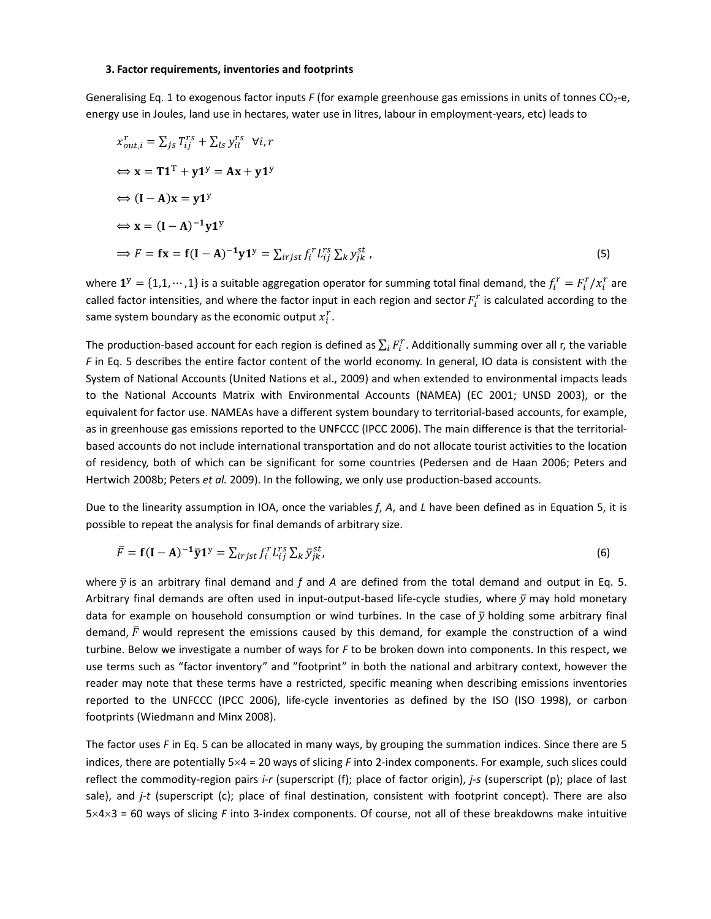#### **3. Factor requirements, inventories and footprints**

Generalising Eq. 1 to exogenous factor inputs *F* (for example greenhouse gas emissions in units of tonnes CO<sub>2</sub>-e, energy use in Joules, land use in hectares, water use in litres, labour in employment‐years, etc) leads to

$$
x_{out,i}^r = \sum_{js} T_{ij}^{rs} + \sum_{ls} y_{il}^{rs} \forall i, r
$$
  
\n
$$
\Leftrightarrow \mathbf{x} = \mathbf{T} \mathbf{1}^T + \mathbf{y} \mathbf{1}^y = \mathbf{A} \mathbf{x} + \mathbf{y} \mathbf{1}^y
$$
  
\n
$$
\Leftrightarrow (\mathbf{I} - \mathbf{A}) \mathbf{x} = \mathbf{y} \mathbf{1}^y
$$
  
\n
$$
\Leftrightarrow \mathbf{x} = (\mathbf{I} - \mathbf{A})^{-1} \mathbf{y} \mathbf{1}^y
$$
  
\n
$$
\Rightarrow F = \mathbf{f} \mathbf{x} = \mathbf{f} (\mathbf{I} - \mathbf{A})^{-1} \mathbf{y} \mathbf{1}^y = \sum_{irjst} f_i^r L_{ij}^{rs} \sum_{k} y_{jk}^{st},
$$
\n(5)

where  $\mathbf{1}^y = \{1,1,\cdots,1\}$  is a suitable aggregation operator for summing total final demand, the  $f_i^r = F_i^r / x_i^r$  are called factor intensities, and where the factor input in each region and sector  $F_t^r$  is calculated according to the same system boundary as the economic output  $x_i^r$ .

The production-based account for each region is defined as  $\sum_i F_i^r$ . Additionally summing over all r, the variable *F* in Eq. 5 describes the entire factor content of the world economy. In general, IO data is consistent with the System of National Accounts (United Nations et al., 2009) and when extended to environmental impacts leads to the National Accounts Matrix with Environmental Accounts (NAMEA) (EC 2001; UNSD 2003), or the equivalent for factor use. NAMEAs have a different system boundary to territorial‐based accounts, for example, as in greenhouse gas emissions reported to the UNFCCC (IPCC 2006). The main difference is that the territorialbased accounts do not include international transportation and do not allocate tourist activities to the location of residency, both of which can be significant for some countries (Pedersen and de Haan 2006; Peters and Hertwich 2008b; Peters *et al.* 2009). In the following, we only use production-based accounts.

Due to the linearity assumption in IOA, once the variables *f*, *A*, and *L* have been defined as in Equation 5, it is possible to repeat the analysis for final demands of arbitrary size.

$$
\overline{F} = \mathbf{f}(\mathbf{I} - \mathbf{A})^{-1} \overline{\mathbf{y}} \mathbf{1}^{\mathbf{y}} = \sum_{irjst} f_i^r L_{ij}^{rs} \sum_k \overline{y}_{jk}^{st},
$$
\n(6)

where  $\bar{y}$  is an arbitrary final demand and *f* and *A* are defined from the total demand and output in Eq. 5. Arbitrary final demands are often used in input-output-based life-cycle studies, where  $\bar{y}$  may hold monetary data for example on household consumption or wind turbines. In the case of  $\bar{y}$  holding some arbitrary final demand,  $\bar{F}$  would represent the emissions caused by this demand, for example the construction of a wind turbine. Below we investigate a number of ways for *F* to be broken down into components. In this respect, we use terms such as "factor inventory" and "footprint" in both the national and arbitrary context, however the reader may note that these terms have a restricted, specific meaning when describing emissions inventories reported to the UNFCCC (IPCC 2006), life‐cycle inventories as defined by the ISO (ISO 1998), or carbon footprints (Wiedmann and Minx 2008).

The factor uses *F* in Eq. 5 can be allocated in many ways, by grouping the summation indices. Since there are 5 indices, there are potentially 5×4 = 20 ways of slicing *F* into 2‐index components. For example, such slices could reflect the commodity‐region pairs *i*‐*r* (superscript (f); place of factor origin), *j*‐*s* (superscript (p); place of last sale), and *j*-*t* (superscript (c); place of final destination, consistent with footprint concept). There are also 5×4×3 = 60 ways of slicing *F* into 3‐index components. Of course, not all of these breakdowns make intuitive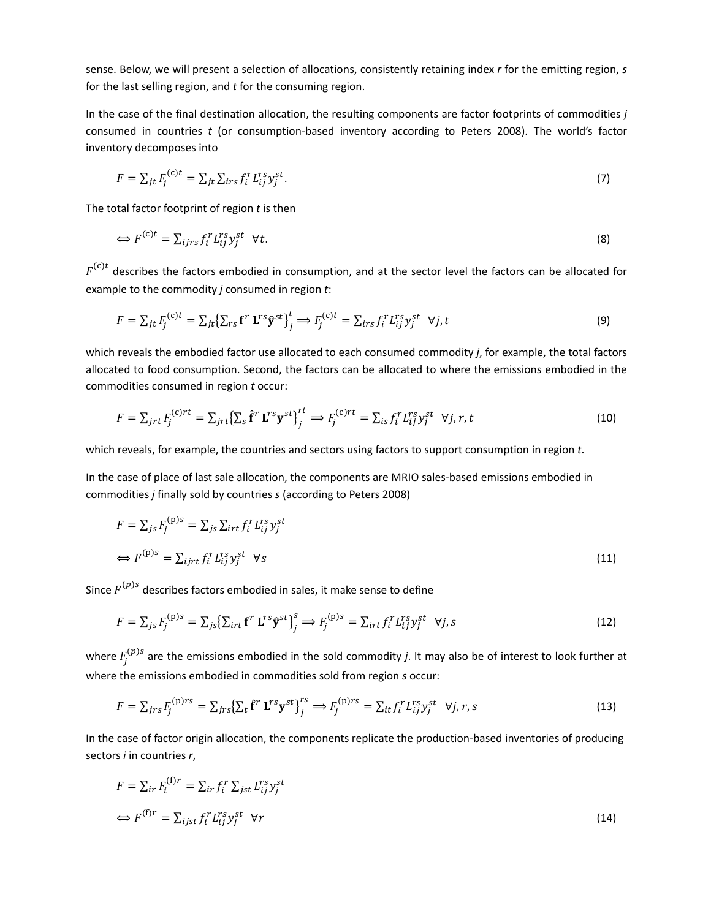sense. Below, we will present a selection of allocations, consistently retaining index *r* for the emitting region, *s* for the last selling region, and *t* for the consuming region.

In the case of the final destination allocation, the resulting components are factor footprints of commodities *j* consumed in countries *t* (or consumption‐based inventory according to Peters 2008). The world's factor inventory decomposes into

$$
F = \sum_{jt} F_j^{(c)t} = \sum_{jt} \sum_{irs} f_i^r L_{ij}^{rs} y_j^{st}.
$$
\n<sup>(7)</sup>

The total factor footprint of region *t* is then

$$
\Leftrightarrow F^{(c)t} = \sum_{ijrs} f_i^r L_{ij}^{rs} y_j^{st} \quad \forall t. \tag{8}
$$

 $F^{(c)t}$  describes the factors embodied in consumption, and at the sector level the factors can be allocated for example to the commodity *j* consumed in region *t*:

$$
F = \sum_{jt} F_j^{(c)t} = \sum_{jt} \left\{ \sum_{rs} \mathbf{f}^r \mathbf{L}^{rs} \mathbf{\hat{y}}^{st} \right\}_{j}^{t} \Longrightarrow F_j^{(c)t} = \sum_{irs} f_i^r L_{ij}^{rs} y_j^{st} \quad \forall j, t
$$
\n(9)

which reveals the embodied factor use allocated to each consumed commodity *j*, for example, the total factors allocated to food consumption. Second, the factors can be allocated to where the emissions embodied in the commodities consumed in region *t* occur:

$$
F = \sum_{jrt} F_j^{(c)rt} = \sum_{jrt} \left\{ \sum_s \hat{\mathbf{f}}^r \mathbf{L}^{rs} \mathbf{y}^{st} \right\}_{j}^{rt} \implies F_j^{(c)rt} = \sum_{is} f_i^r L_{ij}^{rs} y_j^{st} \quad \forall j, r, t
$$
\n(10)

which reveals, for example, the countries and sectors using factors to support consumption in region *t*.

In the case of place of last sale allocation, the components are MRIO sales-based emissions embodied in commodities *j* finally sold by countries *s* (according to Peters 2008)

$$
F = \sum_{j} F_j^{(p)s} = \sum_{j} \sum_{irt} f_i^r L_{ij}^{rs} y_j^{st}
$$
  
\n
$$
\iff F^{(p)s} = \sum_{ijrt} f_i^r L_{ij}^{rs} y_j^{st} \quad \forall s
$$
\n(11)

Since  $F^{(p)s}$  describes factors embodied in sales, it make sense to define

$$
F = \sum_{j_S} F_j^{(\text{p})s} = \sum_{j_S} \left\{ \sum_{irt} \mathbf{f}^r \mathbf{L}^{rs} \hat{\mathbf{y}}^{st} \right\}_{j}^s \Rightarrow F_j^{(\text{p})s} = \sum_{irt} f_i^r L_{ij}^{rs} y_j^{st} \quad \forall j, s
$$
\n(12)

where  $F^{(p)s}_{j}$  are the emissions embodied in the sold commodity *j*. It may also be of interest to look further at where the emissions embodied in commodities sold from region *s* occur:

$$
F = \sum_{jrs} F_j^{(\text{p})rs} = \sum_{jrs} \left\{ \sum_t \mathbf{f}^r \mathbf{L}^{rs} \mathbf{y}^{st} \right\}_{j}^{rs} \Rightarrow F_j^{(\text{p})rs} = \sum_{it} f_i^r L_{ij}^{rs} y_j^{st} \quad \forall j, r, s
$$
\n(13)

In the case of factor origin allocation, the components replicate the production‐based inventories of producing sectors *i* in countries *r*,

$$
F = \sum_{ir} F_i^{(f)r} = \sum_{ir} f_i^r \sum_{jst} L_{ij}^{rs} y_j^{st}
$$
  
\n
$$
\iff F^{(f)r} = \sum_{ijst} f_i^r L_{ij}^{rs} y_j^{st} \quad \forall r
$$
\n(14)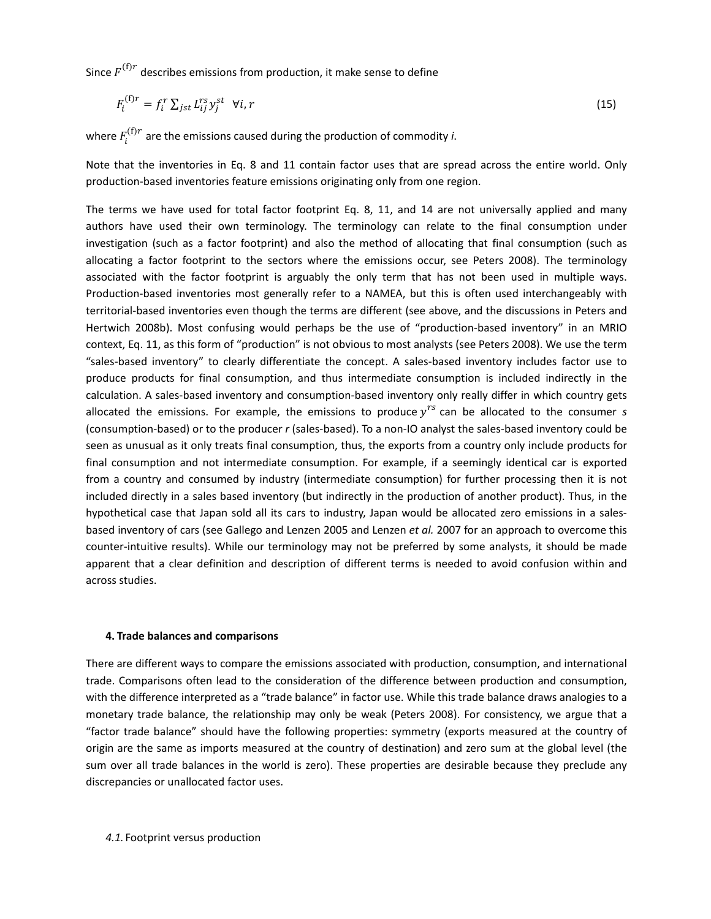Since  $F^{(f)r}$  describes emissions from production, it make sense to define

$$
F_i^{(f)r} = f_i^r \sum_{jst} L_{ij}^{rs} y_j^{st} \quad \forall i, r
$$
\n<sup>(15)</sup>

where  $F_i^{(\mathrm{f})r}$  are the emissions caused during the production of commodity *i*.

Note that the inventories in Eq. 8 and 11 contain factor uses that are spread across the entire world. Only production‐based inventories feature emissions originating only from one region.

The terms we have used for total factor footprint Eq. 8, 11, and 14 are not universally applied and many authors have used their own terminology. The terminology can relate to the final consumption under investigation (such as a factor footprint) and also the method of allocating that final consumption (such as allocating a factor footprint to the sectors where the emissions occur, see Peters 2008). The terminology associated with the factor footprint is arguably the only term that has not been used in multiple ways. Production‐based inventories most generally refer to a NAMEA, but this is often used interchangeably with territorial‐based inventories even though the terms are different (see above, and the discussions in Peters and Hertwich 2008b). Most confusing would perhaps be the use of "production-based inventory" in an MRIO context, Eq. 11, as this form of "production" is not obvious to most analysts (see Peters 2008). We use the term "sales‐based inventory" to clearly differentiate the concept. A sales‐based inventory includes factor use to produce products for final consumption, and thus intermediate consumption is included indirectly in the calculation. A sales-based inventory and consumption-based inventory only really differ in which country gets allocated the emissions. For example, the emissions to produce  $y^{rs}$  can be allocated to the consumer  $s$ (consumption‐based) or to the producer *r* (sales‐based). To a non‐IO analyst the sales‐based inventory could be seen as unusual as it only treats final consumption, thus, the exports from a country only include products for final consumption and not intermediate consumption. For example, if a seemingly identical car is exported from a country and consumed by industry (intermediate consumption) for further processing then it is not included directly in a sales based inventory (but indirectly in the production of another product). Thus, in the hypothetical case that Japan sold all its cars to industry, Japan would be allocated zero emissions in a sales‐ based inventory of cars (see Gallego and Lenzen 2005 and Lenzen *et al.* 2007 for an approach to overcome this counter-intuitive results). While our terminology may not be preferred by some analysts, it should be made apparent that a clear definition and description of different terms is needed to avoid confusion within and across studies.

# **4. Trade balances and comparisons**

There are different ways to compare the emissions associated with production, consumption, and international trade. Comparisons often lead to the consideration of the difference between production and consumption, with the difference interpreted as a "trade balance" in factor use. While this trade balance draws analogies to a monetary trade balance, the relationship may only be weak (Peters 2008). For consistency, we argue that a "factor trade balance" should have the following properties: symmetry (exports measured at the country of origin are the same as imports measured at the country of destination) and zero sum at the global level (the sum over all trade balances in the world is zero). These properties are desirable because they preclude any discrepancies or unallocated factor uses.

*4.1.* Footprint versus production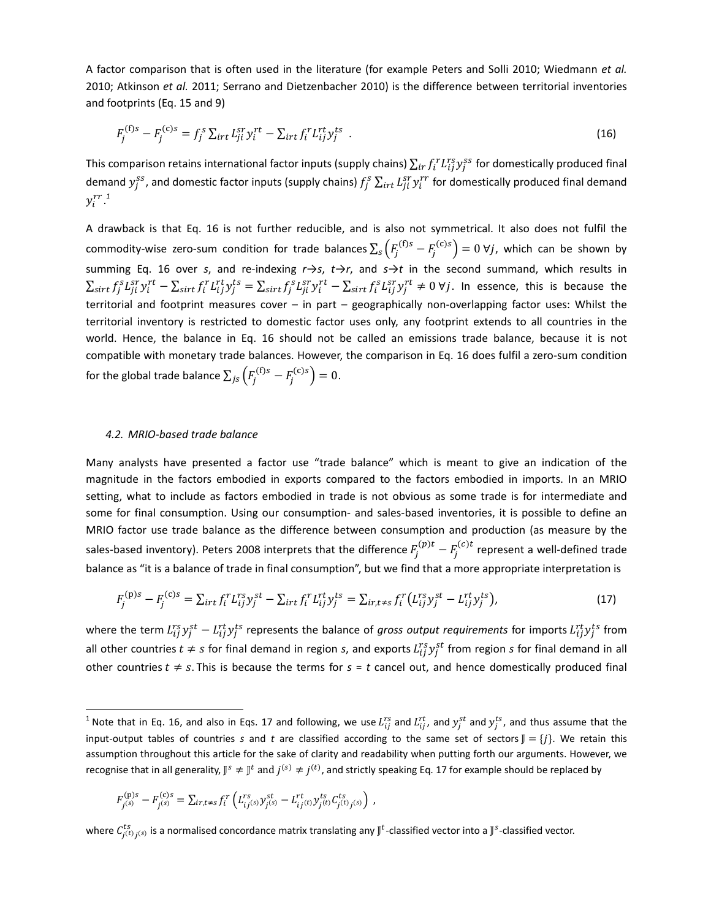A factor comparison that is often used in the literature (for example Peters and Solli 2010; Wiedmann *et al.* 2010; Atkinson *et al.* 2011; Serrano and Dietzenbacher 2010) is the difference between territorial inventories and footprints (Eq. 15 and 9)

$$
F_j^{(f)s} - F_j^{(c)s} = f_j^s \sum_{i \neq t} L_{ji}^{sr} y_i^{rt} - \sum_{i \neq t} f_i^r L_{ij}^{rt} y_j^{ts} \tag{16}
$$

This comparison retains international factor inputs (supply chains)  $\sum_{ir}f_i^rL_{ij}^{rs}y_j^{ss}$  for domestically produced final demand  $y_j^{ss}$ , and domestic factor inputs (supply chains)  $f_j^s\sum_{irt}L_{ji}^{sr}y_i^{rr}$  for domestically produced final demand  $y_i^{rr}$ .<sup>1</sup>

A drawback is that Eq. 16 is not further reducible, and is also not symmetrical. It also does not fulfil the commodity-wise zero-sum condition for trade balances  $\sum_s \left(F^{({\rm f})s}_j-F^{({\rm c})s}_j\right)=0$  ∀ $j$ , which can be shown by summing Eq. 16 over *s*, and re‐indexing *r*→*s*, *t*→*r*, and *s*→*t* in the second summand, which results in  $\sum_{sirt} f_j^s L_{ji}^{sr} y_i^{rt} - \sum_{sirt} f_i^r L_{ij}^{rt} y_j^{ts} = \sum_{sirt} f_j^s L_{ji}^{sr} y_i^{rt} - \sum_{sirt} f_i^s L_{ij}^{sr} y_j^{rt} \neq 0$   $\forall j$ . In essence, this is because the territorial and footprint measures cover – in part – geographically non-overlapping factor uses: Whilst the territorial inventory is restricted to domestic factor uses only, any footprint extends to all countries in the world. Hence, the balance in Eq. 16 should not be called an emissions trade balance, because it is not compatible with monetary trade balances. However, the comparison in Eq. 16 does fulfil a zero-sum condition for the global trade balance  $\sum_{js}\left(F_{j}^{({\rm f})s}-F_{j}^{({\rm c})s}\right)=0.$ 

#### *4.2. MRIO‐based trade balance*

Many analysts have presented a factor use "trade balance" which is meant to give an indication of the magnitude in the factors embodied in exports compared to the factors embodied in imports. In an MRIO setting, what to include as factors embodied in trade is not obvious as some trade is for intermediate and some for final consumption. Using our consumption- and sales-based inventories, it is possible to define an MRIO factor use trade balance as the difference between consumption and production (as measure by the sales-based inventory). Peters 2008 interprets that the difference  $F_j^{(p)t} - F_j^{(c)t}$  represent a well-defined trade balance as "it is a balance of trade in final consumption", but we find that a more appropriate interpretation is

$$
F_j^{(p)s} - F_j^{(c)s} = \sum_{i \neq t} f_i^r L_{ij}^{rs} y_j^{st} - \sum_{i \neq t} f_i^r L_{ij}^{rt} y_j^{ts} = \sum_{i \neq t \neq s} f_i^r (L_{ij}^{rs} y_j^{st} - L_{ij}^{rt} y_j^{ts}),
$$
(17)

where the term  $L_{ij}^{rs}y_j^{st}-L_{ij}^{rt}y_j^{ts}$  represents the balance of gross output requirements for imports  $L_{ij}^{rt}y_j^{ts}$  from all other countries  $t \neq s$  for final demand in region *s*, and exports  $L_{ij}^{rs}y_j^{st}$  from region *s* for final demand in all other countries  $t \neq s$ . This is because the terms for  $s = t$  cancel out, and hence domestically produced final

$$
F_{j(s)}^{(p)s} - F_{j(s)}^{(c)s} = \sum_{ir,t \neq s} f_i^r \left( L_{ij(s)}^{rs} y_{j(s)}^{st} - L_{ij(t)}^{rt} y_{j(t)}^{ts} C_{j(t)j(s)}^{ts} \right) ,
$$

<sup>&</sup>lt;sup>1</sup> Note that in Eq. 16, and also in Eqs. 17 and following, we use  $L_{ij}^{rs}$  and  $L_{ij}^{rt}$ , and  $y_j^{ts}$ , and thus assume that the input-output tables of countries *s* and *t* are classified according to the same set of sectors  $\mathbb{I} = \{i\}$ . We retain this assumption throughout this article for the sake of clarity and readability when putting forth our arguments. However, we recognise that in all generality,  $J^s \neq J^t$  and  $j^{(s)} \neq j^{(t)}$ , and strictly speaking Eq. 17 for example should be replaced by

where  $C_{j^{(t)}j^{(S)}}^{ts}$  is a normalised concordance matrix translating any  $J^t$ -classified vector into a  $J^s$ -classified vector.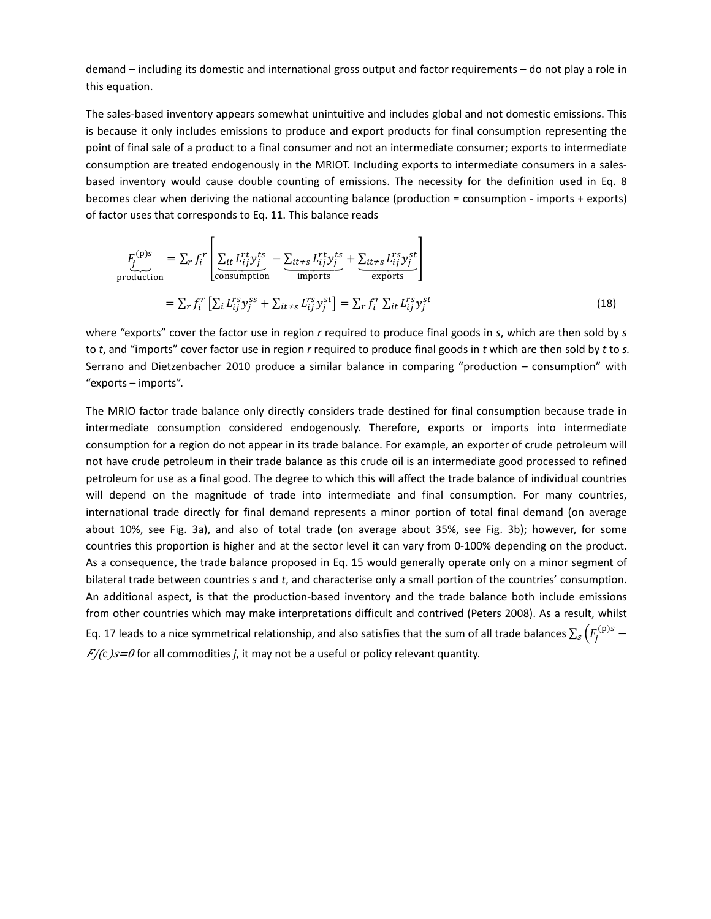demand – including its domestic and international gross output and factor requirements – do not play a role in this equation.

The sales‐based inventory appears somewhat unintuitive and includes global and not domestic emissions. This is because it only includes emissions to produce and export products for final consumption representing the point of final sale of a product to a final consumer and not an intermediate consumer; exports to intermediate consumption are treated endogenously in the MRIOT. Including exports to intermediate consumers in a sales‐ based inventory would cause double counting of emissions. The necessity for the definition used in Eq. 8 becomes clear when deriving the national accounting balance (production = consumption ‐ imports + exports) of factor uses that corresponds to Eq. 11. This balance reads

$$
F_j^{(p)s} = \sum_r f_i^r \left[ \underbrace{\sum_{it} L_{ij}^{rt} y_j^{ts}}_{\text{consumption}} - \underbrace{\sum_{it \neq s} L_{ij}^{rt} y_j^{ts}}_{\text{imports}} + \underbrace{\sum_{it \neq s} L_{ij}^{rs} y_j^{st}}_{\text{exports}} \right]
$$
  
= 
$$
\sum_r f_i^r \left[ \sum_i L_{ij}^{rs} y_j^{ss} + \sum_{it \neq s} L_{ij}^{rs} y_j^{st} \right] = \sum_r f_i^r \sum_{it} L_{ij}^{rs} y_j^{st}
$$
(18)

where "exports" cover the factor use in region *r* required to produce final goods in *s*, which are then sold by *s* to *t*, and "imports" cover factor use in region *r* required to produce final goods in *t* which are then sold by *t* to *s.* Serrano and Dietzenbacher 2010 produce a similar balance in comparing "production – consumption" with "exports – imports".

The MRIO factor trade balance only directly considers trade destined for final consumption because trade in intermediate consumption considered endogenously. Therefore, exports or imports into intermediate consumption for a region do not appear in its trade balance. For example, an exporter of crude petroleum will not have crude petroleum in their trade balance as this crude oil is an intermediate good processed to refined petroleum for use as a final good. The degree to which this will affect the trade balance of individual countries will depend on the magnitude of trade into intermediate and final consumption. For many countries, international trade directly for final demand represents a minor portion of total final demand (on average about 10%, see Fig. 3a), and also of total trade (on average about 35%, see Fig. 3b); however, for some countries this proportion is higher and at the sector level it can vary from 0‐100% depending on the product. As a consequence, the trade balance proposed in Eq. 15 would generally operate only on a minor segment of bilateral trade between countries *s* and *t*, and characterise only a small portion of the countries' consumption. An additional aspect, is that the production‐based inventory and the trade balance both include emissions from other countries which may make interpretations difficult and contrived (Peters 2008). As a result, whilst Eq. 17 leads to a nice symmetrical relationship, and also satisfies that the sum of all trade balances  $\sum_s \left(F^{({\rm p})s}_j F/(c)$  $s=0$  for all commodities *j*, it may not be a useful or policy relevant quantity.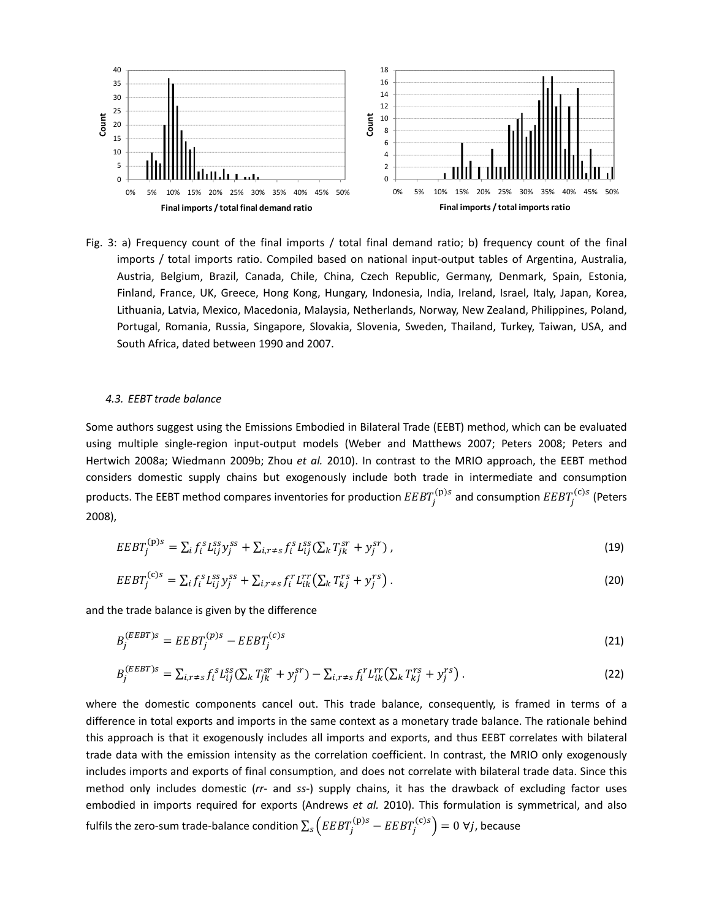

Fig. 3: a) Frequency count of the final imports / total final demand ratio; b) frequency count of the final imports / total imports ratio. Compiled based on national input-output tables of Argentina, Australia, Austria, Belgium, Brazil, Canada, Chile, China, Czech Republic, Germany, Denmark, Spain, Estonia, Finland, France, UK, Greece, Hong Kong, Hungary, Indonesia, India, Ireland, Israel, Italy, Japan, Korea, Lithuania, Latvia, Mexico, Macedonia, Malaysia, Netherlands, Norway, New Zealand, Philippines, Poland, Portugal, Romania, Russia, Singapore, Slovakia, Slovenia, Sweden, Thailand, Turkey, Taiwan, USA, and South Africa, dated between 1990 and 2007.

### *4.3. EEBT trade balance*

Some authors suggest using the Emissions Embodied in Bilateral Trade (EEBT) method, which can be evaluated using multiple single‐region input‐output models (Weber and Matthews 2007; Peters 2008; Peters and Hertwich 2008a; Wiedmann 2009b; Zhou *et al.* 2010). In contrast to the MRIO approach, the EEBT method considers domestic supply chains but exogenously include both trade in intermediate and consumption products. The EEBT method compares inventories for production  $\it{EBT}^{(p)s}_{j}$  and consumption  $\it{EEBT}^{(c)s}_{j}$  (Peters 2008),

$$
EEBT_j^{(p)s} = \sum_i f_i^s L_{ij}^{ss} y_j^{ss} + \sum_{i,r \neq s} f_i^s L_{ij}^{ss} (\sum_k T_{jk}^{sr} + y_j^{sr}) \,, \tag{19}
$$

$$
EEBT_j^{(c)s} = \sum_i f_i^s L_{ij}^{ss} y_j^{ss} + \sum_{i,r \neq s} f_i^r L_{ik}^{rr} \left( \sum_k T_{kj}^{rs} + y_j^{rs} \right). \tag{20}
$$

and the trade balance is given by the difference

$$
B_j^{(EEBT)S} = EEBT_j^{(p)S} - EEBT_j^{(c)S} \tag{21}
$$

$$
B_j^{(EEBT)S} = \sum_{i,r \neq S} f_i^S L_{ij}^{SS} (\sum_k T_{jk}^{ST} + y_j^{ST}) - \sum_{i,r \neq S} f_i^T L_{ik}^{rr} (\sum_k T_{kj}^{rs} + y_j^{rs}). \tag{22}
$$

where the domestic components cancel out. This trade balance, consequently, is framed in terms of a difference in total exports and imports in the same context as a monetary trade balance. The rationale behind this approach is that it exogenously includes all imports and exports, and thus EEBT correlates with bilateral trade data with the emission intensity as the correlation coefficient. In contrast, the MRIO only exogenously includes imports and exports of final consumption, and does not correlate with bilateral trade data. Since this method only includes domestic (*rr*‐ and *ss*‐) supply chains, it has the drawback of excluding factor uses embodied in imports required for exports (Andrews *et al.* 2010). This formulation is symmetrical, and also fulfils the zero-sum trade-balance condition  $\sum_s \left( EEBT^{(\text{p})s}_j - EEBT^{(\text{c})s}_j \right) = 0$   $\forall j$ , because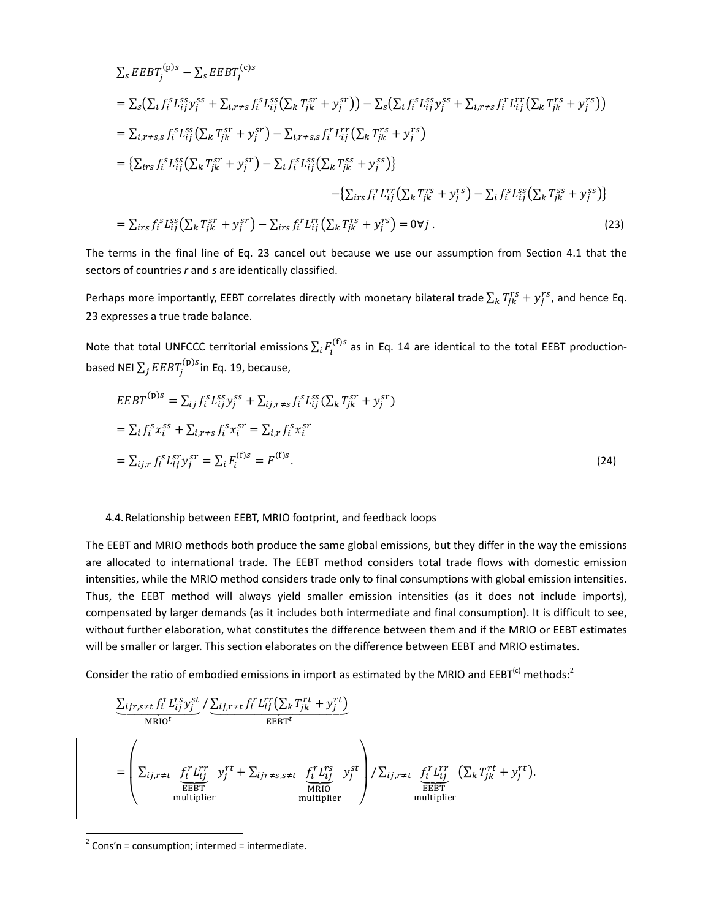$$
\sum_{s} EEBT_{j}^{(p)s} - \sum_{s} EEBT_{j}^{(c)s}
$$
\n
$$
= \sum_{s} (\sum_{i} f_{i}^{s} L_{ij}^{ss} y_{j}^{ss} + \sum_{i,r \neq s} f_{i}^{s} L_{ij}^{ss} (\sum_{k} T_{jk}^{sr} + y_{j}^{sr})) - \sum_{s} (\sum_{i} f_{i}^{s} L_{ij}^{ss} y_{j}^{ss} + \sum_{i,r \neq s} f_{i}^{r} L_{ij}^{rr} (\sum_{k} T_{jk}^{rs} + y_{j}^{rs}))
$$
\n
$$
= \sum_{i,r \neq s,s} f_{i}^{s} L_{ij}^{ss} (\sum_{k} T_{jk}^{sr} + y_{j}^{sr}) - \sum_{i,r \neq s,s} f_{i}^{r} L_{ij}^{rr} (\sum_{k} T_{jk}^{rs} + y_{j}^{rs})
$$
\n
$$
= {\sum_{irs} f_{i}^{s} L_{ij}^{ss} (\sum_{k} T_{jk}^{sr} + y_{j}^{sr}) - \sum_{i} f_{i}^{s} L_{ij}^{ss} (\sum_{k} T_{jk}^{rs} + y_{j}^{ss})}
$$
\n
$$
- {\sum_{irs} f_{i}^{r} L_{ij}^{rr} (\sum_{k} T_{jk}^{rs} + y_{j}^{rs}) - \sum_{i} f_{i}^{s} L_{ij}^{ss} (\sum_{k} T_{jk}^{rs} + y_{j}^{rs})}
$$
\n
$$
= \sum_{irs} f_{i}^{s} L_{ij}^{ss} (\sum_{k} T_{jk}^{sr} + y_{j}^{sr}) - \sum_{irs} f_{i}^{r} L_{ij}^{rr} (\sum_{k} T_{jk}^{rs} + y_{j}^{rs}) = 0 \forall j.
$$
\n(23)

The terms in the final line of Eq. 23 cancel out because we use our assumption from Section 4.1 that the sectors of countries *r* and *s* are identically classified.

Perhaps more importantly, EEBT correlates directly with monetary bilateral trade  $\sum_k T_{jk}^{rs} + y_j^{rs}$ , and hence Eq. 23 expresses a true trade balance.

Note that total UNFCCC territorial emissions  $\sum_i F_i^{({\rm f})s}$  as in Eq. 14 are identical to the total EEBT productionbased NEI  $\sum_j EEBT^{(\mathrm{p})s}_j$ in Eq. 19, because,

$$
EEBT^{(p)s} = \sum_{ij} f_i^s L_{ij}^{ss} y_j^{ss} + \sum_{ij, r \neq s} f_i^s L_{ij}^{ss} (\sum_k T_{jk}^{sr} + y_j^{sr})
$$
  
=  $\sum_i f_i^s x_i^{ss} + \sum_{i, r \neq s} f_i^s x_i^{sr} = \sum_{i, r} f_i^s x_i^{sr}$   
=  $\sum_{ij, r} f_i^s L_{ij}^{sr} y_j^{sr} = \sum_i F_i^{(f)s} = F^{(f)s}$ . (24)

### 4.4.Relationship between EEBT, MRIO footprint, and feedback loops

The EEBT and MRIO methods both produce the same global emissions, but they differ in the way the emissions are allocated to international trade. The EEBT method considers total trade flows with domestic emission intensities, while the MRIO method considers trade only to final consumptions with global emission intensities. Thus, the EEBT method will always yield smaller emission intensities (as it does not include imports), compensated by larger demands (as it includes both intermediate and final consumption). It is difficult to see, without further elaboration, what constitutes the difference between them and if the MRIO or EEBT estimates will be smaller or larger. This section elaborates on the difference between EEBT and MRIO estimates.

Consider the ratio of embodied emissions in import as estimated by the MRIO and EEBT<sup>(c)</sup> methods:<sup>2</sup>

$$
\underbrace{\sum_{ijr,s\neq t}f_{i}^{r}L_{ij}^{rs}y_{j}^{st}}_{MRI0^{t}} / \underbrace{\sum_{ij,r\neq t}f_{i}^{r}L_{ij}^{rr}(\sum_{k}T_{jk}^{rt}+y_{j}^{rt})}_{\text{EEBT}^{t}}_{E\text{EBT}^{t}}\n\n=\n\left(\sum_{ij,r\neq t} \underbrace{f_{i}^{r}L_{ij}^{rr}}_{\text{HEBT}^{t}} y_{j}^{rt} + \sum_{ijr\neq s,s\neq t} \underbrace{f_{i}^{r}L_{ij}^{rs}}_{MRI0} y_{j}^{st}\n\right) / \sum_{ij,r\neq t} \underbrace{f_{i}^{r}L_{ij}^{rr}}_{E\text{EEBT}^{r}} (\sum_{k}T_{jk}^{rt} + y_{j}^{rt}).
$$

 $2$  Cons'n = consumption; intermed = intermediate.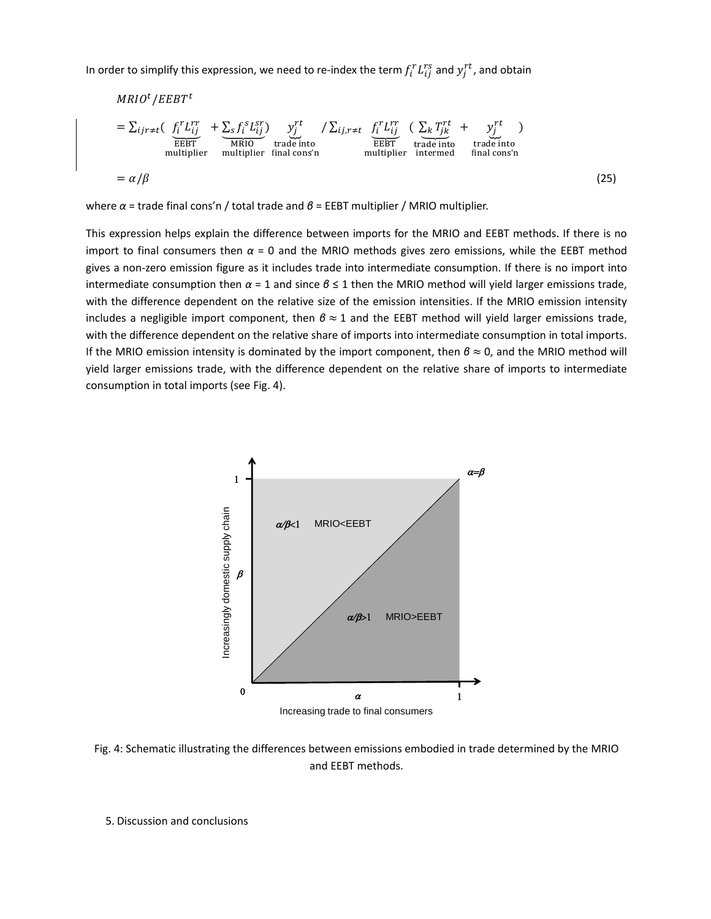In order to simplify this expression, we need to re-index the term  $f_i^rL_{ij}^{rs}$  and  $y_j^{rt}$  , and obtain

$$
MRIO^{t}/EEBT^{t}
$$
\n
$$
= \sum_{ijr \neq t} \left( \underbrace{f_{i}^{r} L_{ij}^{rr}}_{EEBT} + \underbrace{\sum_{s} f_{i}^{s} L_{ij}^{sr}}_{MRIO} \right) \underbrace{y_{j}^{rt}}_{\text{trade into}} / \sum_{ij,r \neq t} \underbrace{f_{i}^{r} L_{ij}^{rr}}_{EEBT} \underbrace{(\underbrace{\sum_{k} T_{jk}^{rt}}_{\text{trade into}} + \underbrace{y_{j}^{rt}}_{\text{trade into}})}_{\text{funde into}
$$
\n
$$
= \alpha/\beta
$$
\n
$$
(25)
$$

where *α* = trade final cons'n / total trade and *β* = EEBT multiplier / MRIO multiplier.

This expression helps explain the difference between imports for the MRIO and EEBT methods. If there is no import to final consumers then *α* = 0 and the MRIO methods gives zero emissions, while the EEBT method gives a non‐zero emission figure as it includes trade into intermediate consumption. If there is no import into intermediate consumption then *α* = 1 and since *β* ≤ 1 then the MRIO method will yield larger emissions trade, with the difference dependent on the relative size of the emission intensities. If the MRIO emission intensity includes a negligible import component, then  $β ≈ 1$  and the EEBT method will yield larger emissions trade, with the difference dependent on the relative share of imports into intermediate consumption in total imports. If the MRIO emission intensity is dominated by the import component, then *β* ≈ 0, and the MRIO method will yield larger emissions trade, with the difference dependent on the relative share of imports to intermediate consumption in total imports (see Fig. 4).



Fig. 4: Schematic illustrating the differences between emissions embodied in trade determined by the MRIO and EEBT methods.

5. Discussion and conclusions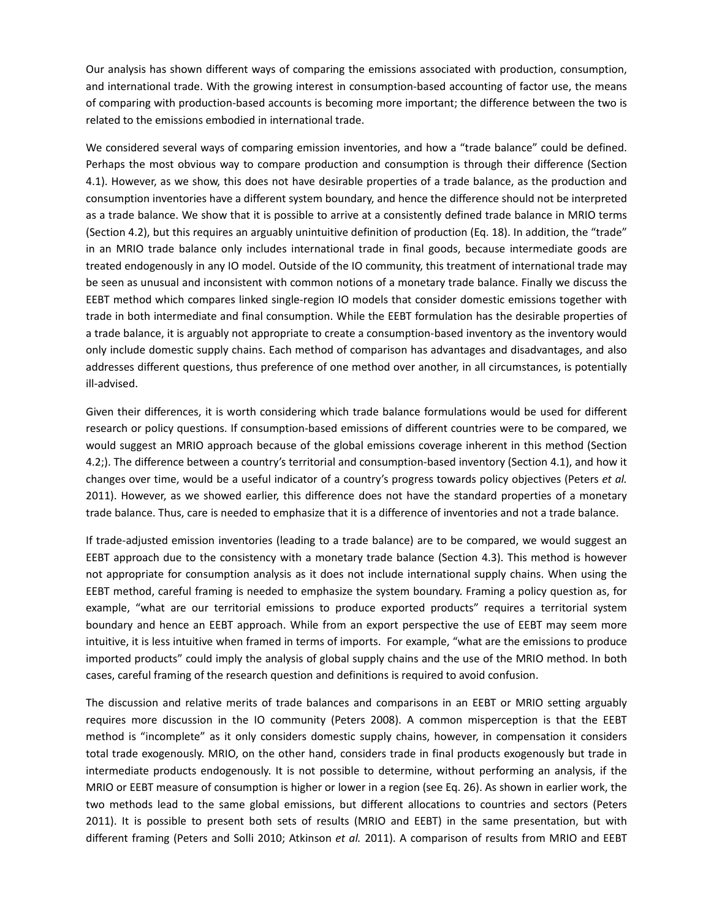Our analysis has shown different ways of comparing the emissions associated with production, consumption, and international trade. With the growing interest in consumption-based accounting of factor use, the means of comparing with production‐based accounts is becoming more important; the difference between the two is related to the emissions embodied in international trade.

We considered several ways of comparing emission inventories, and how a "trade balance" could be defined. Perhaps the most obvious way to compare production and consumption is through their difference (Section 4.1). However, as we show, this does not have desirable properties of a trade balance, as the production and consumption inventories have a different system boundary, and hence the difference should not be interpreted as a trade balance. We show that it is possible to arrive at a consistently defined trade balance in MRIO terms (Section 4.2), but this requires an arguably unintuitive definition of production (Eq. 18). In addition, the "trade" in an MRIO trade balance only includes international trade in final goods, because intermediate goods are treated endogenously in any IO model. Outside of the IO community, this treatment of international trade may be seen as unusual and inconsistent with common notions of a monetary trade balance. Finally we discuss the EEBT method which compares linked single‐region IO models that consider domestic emissions together with trade in both intermediate and final consumption. While the EEBT formulation has the desirable properties of a trade balance, it is arguably not appropriate to create a consumption‐based inventory as the inventory would only include domestic supply chains. Each method of comparison has advantages and disadvantages, and also addresses different questions, thus preference of one method over another, in all circumstances, is potentially ill‐advised.

Given their differences, it is worth considering which trade balance formulations would be used for different research or policy questions. If consumption‐based emissions of different countries were to be compared, we would suggest an MRIO approach because of the global emissions coverage inherent in this method (Section 4.2;). The difference between a country's territorial and consumption‐based inventory (Section 4.1), and how it changes over time, would be a useful indicator of a country's progress towards policy objectives (Peters *et al.* 2011). However, as we showed earlier, this difference does not have the standard properties of a monetary trade balance. Thus, care is needed to emphasize that it is a difference of inventories and not a trade balance.

If trade‐adjusted emission inventories (leading to a trade balance) are to be compared, we would suggest an EEBT approach due to the consistency with a monetary trade balance (Section 4.3). This method is however not appropriate for consumption analysis as it does not include international supply chains. When using the EEBT method, careful framing is needed to emphasize the system boundary. Framing a policy question as, for example, "what are our territorial emissions to produce exported products" requires a territorial system boundary and hence an EEBT approach. While from an export perspective the use of EEBT may seem more intuitive, it is less intuitive when framed in terms of imports. For example, "what are the emissions to produce imported products" could imply the analysis of global supply chains and the use of the MRIO method. In both cases, careful framing of the research question and definitions is required to avoid confusion.

The discussion and relative merits of trade balances and comparisons in an EEBT or MRIO setting arguably requires more discussion in the IO community (Peters 2008). A common misperception is that the EEBT method is "incomplete" as it only considers domestic supply chains, however, in compensation it considers total trade exogenously. MRIO, on the other hand, considers trade in final products exogenously but trade in intermediate products endogenously. It is not possible to determine, without performing an analysis, if the MRIO or EEBT measure of consumption is higher or lower in a region (see Eq. 26). As shown in earlier work, the two methods lead to the same global emissions, but different allocations to countries and sectors (Peters 2011). It is possible to present both sets of results (MRIO and EEBT) in the same presentation, but with different framing (Peters and Solli 2010; Atkinson *et al.* 2011). A comparison of results from MRIO and EEBT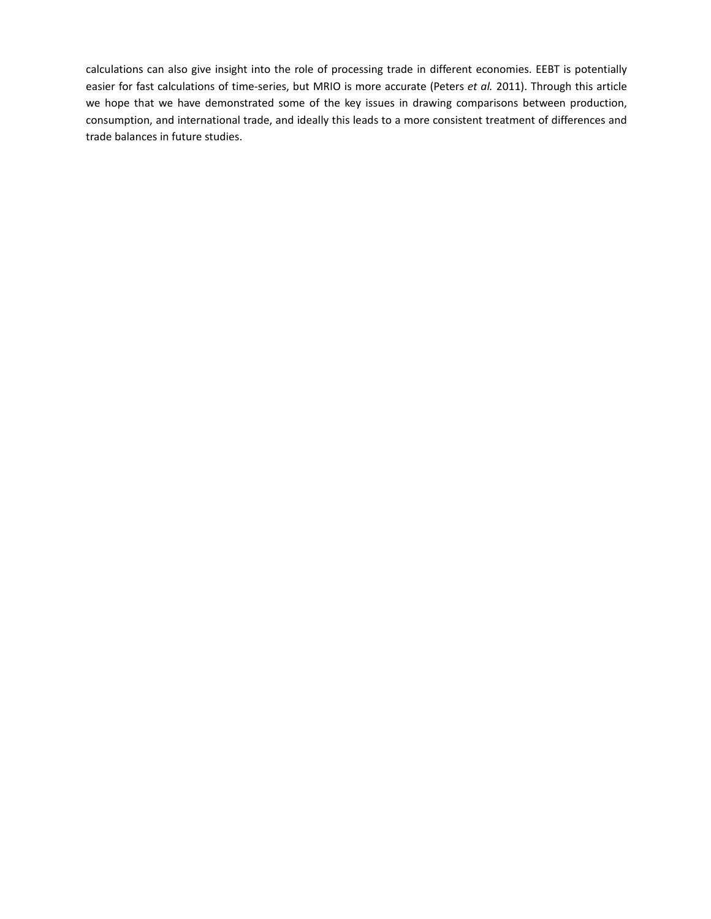calculations can also give insight into the role of processing trade in different economies. EEBT is potentially easier for fast calculations of time‐series, but MRIO is more accurate (Peters *et al.* 2011). Through this article we hope that we have demonstrated some of the key issues in drawing comparisons between production, consumption, and international trade, and ideally this leads to a more consistent treatment of differences and trade balances in future studies.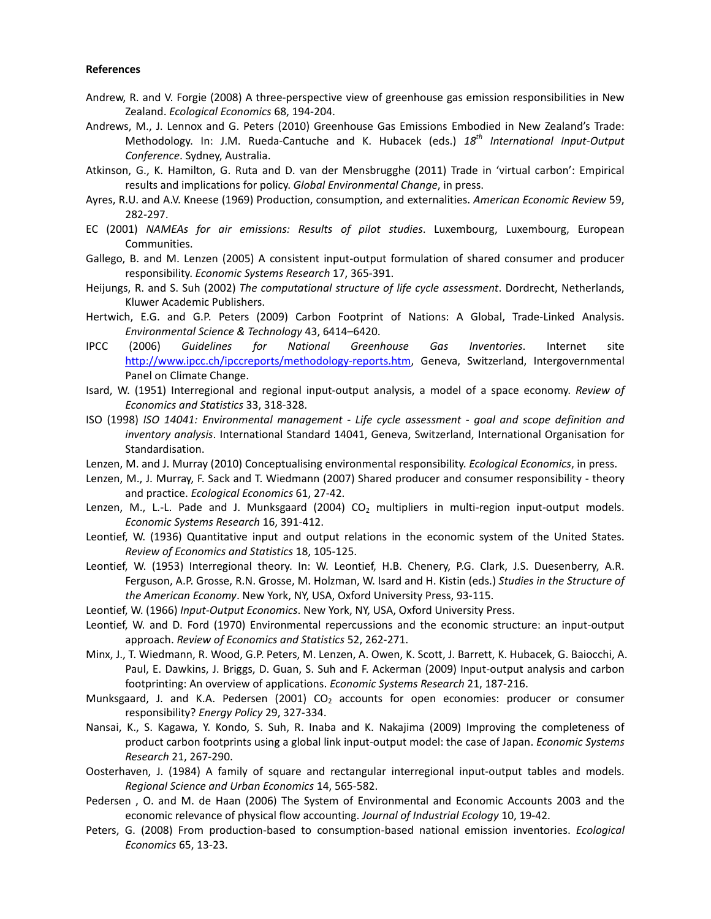# **References**

- Andrew, R. and V. Forgie (2008) A three‐perspective view of greenhouse gas emission responsibilities in New Zealand. *Ecological Economics* 68, 194‐204.
- Andrews, M., J. Lennox and G. Peters (2010) Greenhouse Gas Emissions Embodied in New Zealand's Trade: Methodology. In: J.M. Rueda‐Cantuche and K. Hubacek (eds.) *18th International Input‐Output Conference*. Sydney, Australia.
- Atkinson, G., K. Hamilton, G. Ruta and D. van der Mensbrugghe (2011) Trade in 'virtual carbon': Empirical results and implications for policy. *Global Environmental Change*, in press.
- Ayres, R.U. and A.V. Kneese (1969) Production, consumption, and externalities. *American Economic Review* 59, 282‐297.
- EC (2001) *NAMEAs for air emissions: Results of pilot studies*. Luxembourg, Luxembourg, European Communities.
- Gallego, B. and M. Lenzen (2005) A consistent input-output formulation of shared consumer and producer responsibility. *Economic Systems Research* 17, 365‐391.
- Heijungs, R. and S. Suh (2002) *The computational structure of life cycle assessment*. Dordrecht, Netherlands, Kluwer Academic Publishers.
- Hertwich, E.G. and G.P. Peters (2009) Carbon Footprint of Nations: A Global, Trade‐Linked Analysis. *Environmental Science & Technology* 43, 6414–6420.
- IPCC (2006) *Guidelines for National Greenhouse Gas Inventories*. Internet site http://www.ipcc.ch/ipccreports/methodology-reports.htm, Geneva, Switzerland, Intergovernmental Panel on Climate Change.
- Isard, W. (1951) Interregional and regional input‐output analysis, a model of a space economy. *Review of Economics and Statistics* 33, 318‐328.
- ISO (1998) *ISO 14041: Environmental management ‐ Life cycle assessment ‐ goal and scope definition and inventory analysis*. International Standard 14041, Geneva, Switzerland, International Organisation for Standardisation.
- Lenzen, M. and J. Murray (2010) Conceptualising environmental responsibility. *Ecological Economics*, in press.
- Lenzen, M., J. Murray, F. Sack and T. Wiedmann (2007) Shared producer and consumer responsibility theory and practice. *Ecological Economics* 61, 27‐42.
- Lenzen, M., L.-L. Pade and J. Munksgaard (2004)  $CO<sub>2</sub>$  multipliers in multi-region input-output models. *Economic Systems Research* 16, 391‐412.
- Leontief, W. (1936) Quantitative input and output relations in the economic system of the United States. *Review of Economics and Statistics* 18, 105‐125.
- Leontief, W. (1953) Interregional theory. In: W. Leontief, H.B. Chenery, P.G. Clark, J.S. Duesenberry, A.R. Ferguson, A.P. Grosse, R.N. Grosse, M. Holzman, W. Isard and H. Kistin (eds.) *Studies in the Structure of the American Economy*. New York, NY, USA, Oxford University Press, 93‐115.
- Leontief, W. (1966) *Input‐Output Economics*. New York, NY, USA, Oxford University Press.
- Leontief, W. and D. Ford (1970) Environmental repercussions and the economic structure: an input‐output approach. *Review of Economics and Statistics* 52, 262‐271.
- Minx, J., T. Wiedmann, R. Wood, G.P. Peters, M. Lenzen, A. Owen, K. Scott, J. Barrett, K. Hubacek, G. Baiocchi, A. Paul, E. Dawkins, J. Briggs, D. Guan, S. Suh and F. Ackerman (2009) Input‐output analysis and carbon footprinting: An overview of applications. *Economic Systems Research* 21, 187‐216.
- Munksgaard, J. and K.A. Pedersen (2001)  $CO<sub>2</sub>$  accounts for open economies: producer or consumer responsibility? *Energy Policy* 29, 327‐334.
- Nansai, K., S. Kagawa, Y. Kondo, S. Suh, R. Inaba and K. Nakajima (2009) Improving the completeness of product carbon footprints using a global link input‐output model: the case of Japan. *Economic Systems Research* 21, 267‐290.
- Oosterhaven, J. (1984) A family of square and rectangular interregional input-output tables and models. *Regional Science and Urban Economics* 14, 565‐582.
- Pedersen , O. and M. de Haan (2006) The System of Environmental and Economic Accounts 2003 and the economic relevance of physical flow accounting. *Journal of Industrial Ecology* 10, 19‐42.
- Peters, G. (2008) From production‐based to consumption‐based national emission inventories. *Ecological Economics* 65, 13‐23.